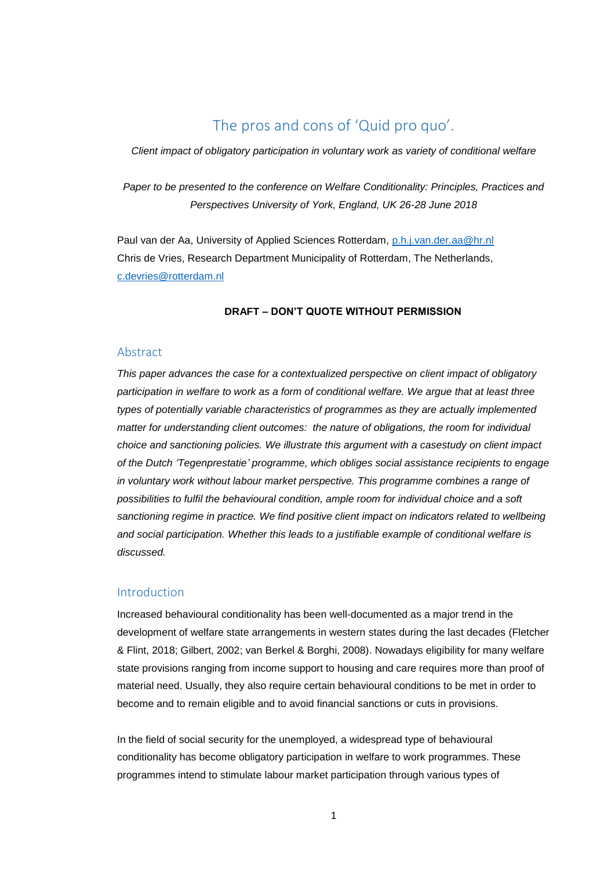## The pros and cons of 'Quid pro quo'.

*Client impact of obligatory participation in voluntary work as variety of conditional welfare*

*Paper to be presented to the conference on Welfare Conditionality: Principles, Practices and Perspectives University of York, England, UK 26-28 June 2018*

Paul van der Aa, University of Applied Sciences Rotterdam, [p.h.j.van.der.aa@hr.nl](mailto:p.h.j.van.der.aa@hr.nl) Chris de Vries, Research Department Municipality of Rotterdam, The Netherlands, [c.devries@rotterdam.nl](mailto:c.devries@rotterdam.nl)

### **DRAFT – DON'T QUOTE WITHOUT PERMISSION**

#### Abstract

*This paper advances the case for a contextualized perspective on client impact of obligatory participation in welfare to work as a form of conditional welfare. We argue that at least three types of potentially variable characteristics of programmes as they are actually implemented matter for understanding client outcomes: the nature of obligations, the room for individual choice and sanctioning policies. We illustrate this argument with a casestudy on client impact of the Dutch 'Tegenprestatie' programme, which obliges social assistance recipients to engage in voluntary work without labour market perspective. This programme combines a range of possibilities to fulfil the behavioural condition, ample room for individual choice and a soft sanctioning regime in practice. We find positive client impact on indicators related to wellbeing and social participation. Whether this leads to a justifiable example of conditional welfare is discussed.*

#### Introduction

Increased behavioural conditionality has been well-documented as a major trend in the development of welfare state arrangements in western states during the last decades (Fletcher & Flint, 2018; Gilbert, 2002; van Berkel & Borghi, 2008). Nowadays eligibility for many welfare state provisions ranging from income support to housing and care requires more than proof of material need. Usually, they also require certain behavioural conditions to be met in order to become and to remain eligible and to avoid financial sanctions or cuts in provisions.

In the field of social security for the unemployed, a widespread type of behavioural conditionality has become obligatory participation in welfare to work programmes. These programmes intend to stimulate labour market participation through various types of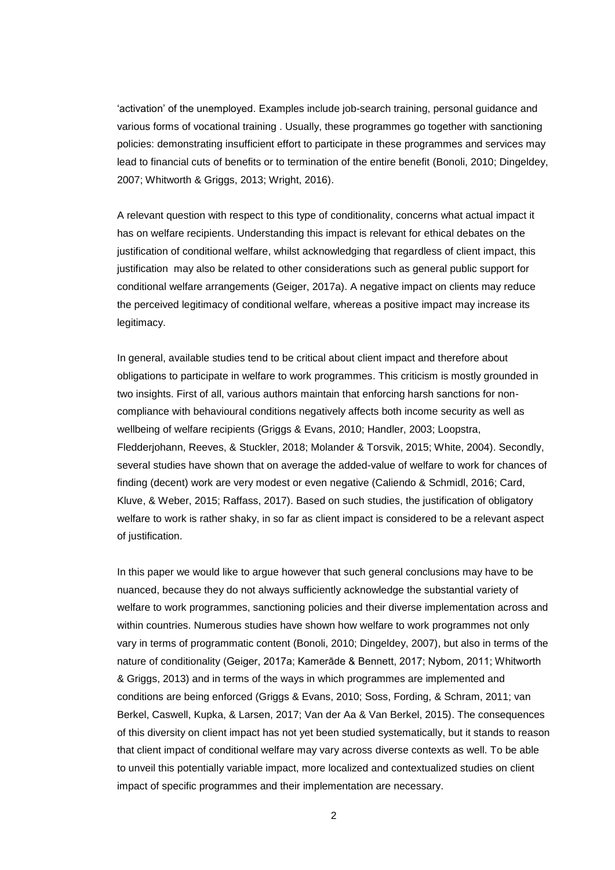'activation' of the unemployed. Examples include job-search training, personal guidance and various forms of vocational training . Usually, these programmes go together with sanctioning policies: demonstrating insufficient effort to participate in these programmes and services may lead to financial cuts of benefits or to termination of the entire benefit (Bonoli, 2010; Dingeldey, 2007; Whitworth & Griggs, 2013; Wright, 2016).

A relevant question with respect to this type of conditionality, concerns what actual impact it has on welfare recipients. Understanding this impact is relevant for ethical debates on the justification of conditional welfare, whilst acknowledging that regardless of client impact, this justification may also be related to other considerations such as general public support for conditional welfare arrangements (Geiger, 2017a). A negative impact on clients may reduce the perceived legitimacy of conditional welfare, whereas a positive impact may increase its legitimacy.

In general, available studies tend to be critical about client impact and therefore about obligations to participate in welfare to work programmes. This criticism is mostly grounded in two insights. First of all, various authors maintain that enforcing harsh sanctions for noncompliance with behavioural conditions negatively affects both income security as well as wellbeing of welfare recipients (Griggs & Evans, 2010; Handler, 2003; Loopstra, Fledderjohann, Reeves, & Stuckler, 2018; Molander & Torsvik, 2015; White, 2004). Secondly, several studies have shown that on average the added-value of welfare to work for chances of finding (decent) work are very modest or even negative (Caliendo & Schmidl, 2016; Card, Kluve, & Weber, 2015; Raffass, 2017). Based on such studies, the justification of obligatory welfare to work is rather shaky, in so far as client impact is considered to be a relevant aspect of justification.

In this paper we would like to argue however that such general conclusions may have to be nuanced, because they do not always sufficiently acknowledge the substantial variety of welfare to work programmes, sanctioning policies and their diverse implementation across and within countries. Numerous studies have shown how welfare to work programmes not only vary in terms of programmatic content (Bonoli, 2010; Dingeldey, 2007), but also in terms of the nature of conditionality (Geiger, 2017a; Kamerāde & Bennett, 2017; Nybom, 2011; Whitworth & Griggs, 2013) and in terms of the ways in which programmes are implemented and conditions are being enforced (Griggs & Evans, 2010; Soss, Fording, & Schram, 2011; van Berkel, Caswell, Kupka, & Larsen, 2017; Van der Aa & Van Berkel, 2015). The consequences of this diversity on client impact has not yet been studied systematically, but it stands to reason that client impact of conditional welfare may vary across diverse contexts as well. To be able to unveil this potentially variable impact, more localized and contextualized studies on client impact of specific programmes and their implementation are necessary.

2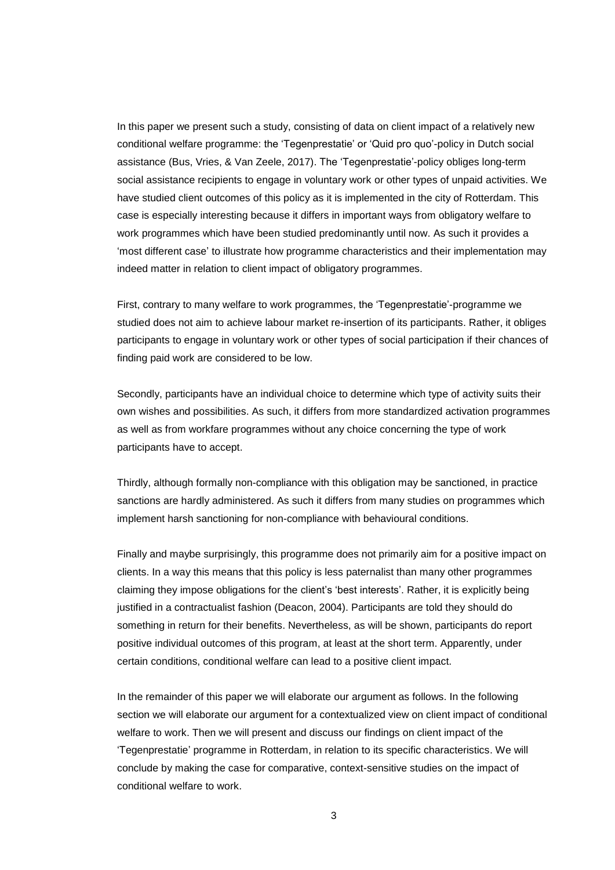In this paper we present such a study, consisting of data on client impact of a relatively new conditional welfare programme: the 'Tegenprestatie' or 'Quid pro quo'-policy in Dutch social assistance (Bus, Vries, & Van Zeele, 2017). The 'Tegenprestatie'-policy obliges long-term social assistance recipients to engage in voluntary work or other types of unpaid activities. We have studied client outcomes of this policy as it is implemented in the city of Rotterdam. This case is especially interesting because it differs in important ways from obligatory welfare to work programmes which have been studied predominantly until now. As such it provides a 'most different case' to illustrate how programme characteristics and their implementation may indeed matter in relation to client impact of obligatory programmes.

First, contrary to many welfare to work programmes, the 'Tegenprestatie'-programme we studied does not aim to achieve labour market re-insertion of its participants. Rather, it obliges participants to engage in voluntary work or other types of social participation if their chances of finding paid work are considered to be low.

Secondly, participants have an individual choice to determine which type of activity suits their own wishes and possibilities. As such, it differs from more standardized activation programmes as well as from workfare programmes without any choice concerning the type of work participants have to accept.

Thirdly, although formally non-compliance with this obligation may be sanctioned, in practice sanctions are hardly administered. As such it differs from many studies on programmes which implement harsh sanctioning for non-compliance with behavioural conditions.

Finally and maybe surprisingly, this programme does not primarily aim for a positive impact on clients. In a way this means that this policy is less paternalist than many other programmes claiming they impose obligations for the client's 'best interests'. Rather, it is explicitly being justified in a contractualist fashion (Deacon, 2004). Participants are told they should do something in return for their benefits. Nevertheless, as will be shown, participants do report positive individual outcomes of this program, at least at the short term. Apparently, under certain conditions, conditional welfare can lead to a positive client impact.

In the remainder of this paper we will elaborate our argument as follows. In the following section we will elaborate our argument for a contextualized view on client impact of conditional welfare to work. Then we will present and discuss our findings on client impact of the 'Tegenprestatie' programme in Rotterdam, in relation to its specific characteristics. We will conclude by making the case for comparative, context-sensitive studies on the impact of conditional welfare to work.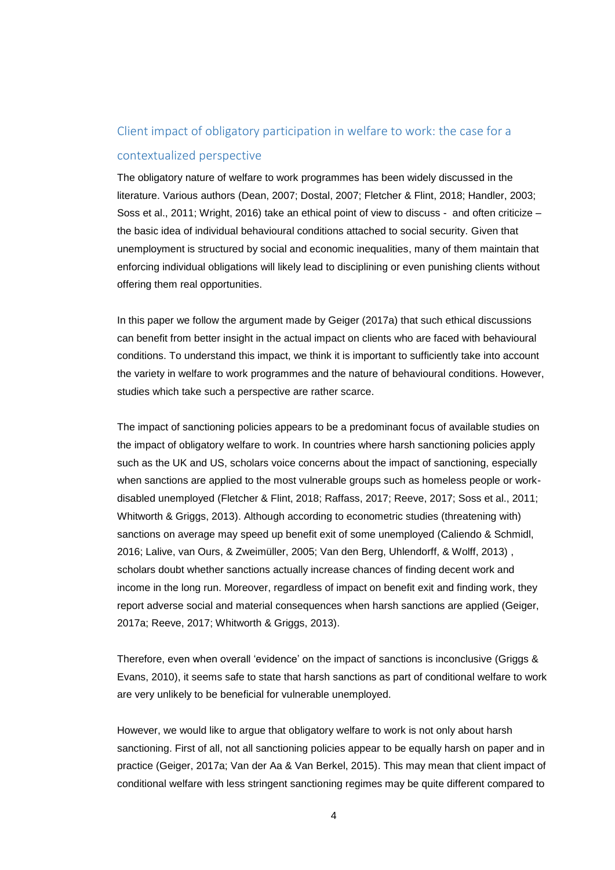# Client impact of obligatory participation in welfare to work: the case for a contextualized perspective

The obligatory nature of welfare to work programmes has been widely discussed in the literature. Various authors (Dean, 2007; Dostal, 2007; Fletcher & Flint, 2018; Handler, 2003; Soss et al., 2011; Wright, 2016) take an ethical point of view to discuss - and often criticize – the basic idea of individual behavioural conditions attached to social security. Given that unemployment is structured by social and economic inequalities, many of them maintain that enforcing individual obligations will likely lead to disciplining or even punishing clients without offering them real opportunities.

In this paper we follow the argument made by Geiger (2017a) that such ethical discussions can benefit from better insight in the actual impact on clients who are faced with behavioural conditions. To understand this impact, we think it is important to sufficiently take into account the variety in welfare to work programmes and the nature of behavioural conditions. However, studies which take such a perspective are rather scarce.

The impact of sanctioning policies appears to be a predominant focus of available studies on the impact of obligatory welfare to work. In countries where harsh sanctioning policies apply such as the UK and US, scholars voice concerns about the impact of sanctioning, especially when sanctions are applied to the most vulnerable groups such as homeless people or workdisabled unemployed (Fletcher & Flint, 2018; Raffass, 2017; Reeve, 2017; Soss et al., 2011; Whitworth & Griggs, 2013). Although according to econometric studies (threatening with) sanctions on average may speed up benefit exit of some unemployed (Caliendo & Schmidl, 2016; Lalive, van Ours, & Zweimüller, 2005; Van den Berg, Uhlendorff, & Wolff, 2013) , scholars doubt whether sanctions actually increase chances of finding decent work and income in the long run. Moreover, regardless of impact on benefit exit and finding work, they report adverse social and material consequences when harsh sanctions are applied (Geiger, 2017a; Reeve, 2017; Whitworth & Griggs, 2013).

Therefore, even when overall 'evidence' on the impact of sanctions is inconclusive (Griggs & Evans, 2010), it seems safe to state that harsh sanctions as part of conditional welfare to work are very unlikely to be beneficial for vulnerable unemployed.

However, we would like to argue that obligatory welfare to work is not only about harsh sanctioning. First of all, not all sanctioning policies appear to be equally harsh on paper and in practice (Geiger, 2017a; Van der Aa & Van Berkel, 2015). This may mean that client impact of conditional welfare with less stringent sanctioning regimes may be quite different compared to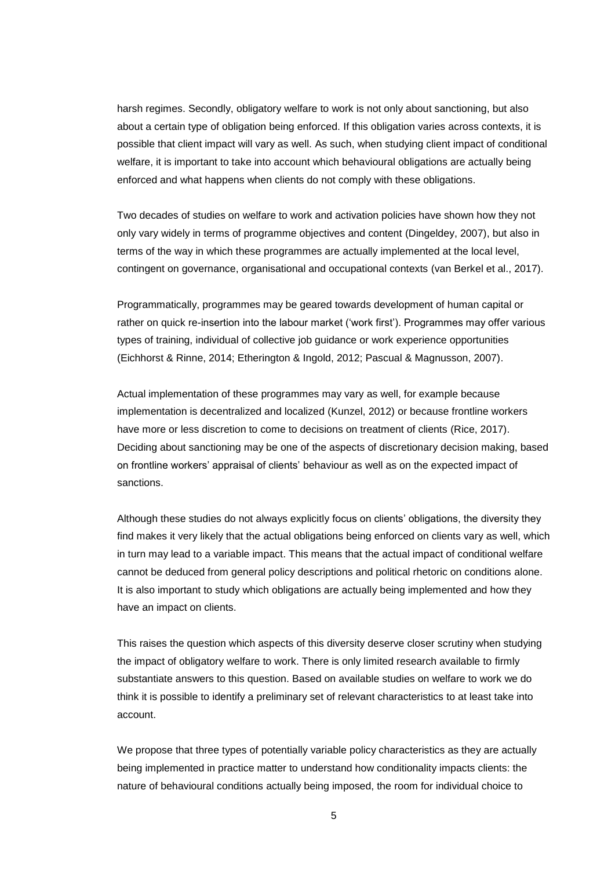harsh regimes. Secondly, obligatory welfare to work is not only about sanctioning, but also about a certain type of obligation being enforced. If this obligation varies across contexts, it is possible that client impact will vary as well. As such, when studying client impact of conditional welfare, it is important to take into account which behavioural obligations are actually being enforced and what happens when clients do not comply with these obligations.

Two decades of studies on welfare to work and activation policies have shown how they not only vary widely in terms of programme objectives and content (Dingeldey, 2007), but also in terms of the way in which these programmes are actually implemented at the local level, contingent on governance, organisational and occupational contexts (van Berkel et al., 2017).

Programmatically, programmes may be geared towards development of human capital or rather on quick re-insertion into the labour market ('work first'). Programmes may offer various types of training, individual of collective job guidance or work experience opportunities (Eichhorst & Rinne, 2014; Etherington & Ingold, 2012; Pascual & Magnusson, 2007).

Actual implementation of these programmes may vary as well, for example because implementation is decentralized and localized (Kunzel, 2012) or because frontline workers have more or less discretion to come to decisions on treatment of clients (Rice, 2017). Deciding about sanctioning may be one of the aspects of discretionary decision making, based on frontline workers' appraisal of clients' behaviour as well as on the expected impact of sanctions.

Although these studies do not always explicitly focus on clients' obligations, the diversity they find makes it very likely that the actual obligations being enforced on clients vary as well, which in turn may lead to a variable impact. This means that the actual impact of conditional welfare cannot be deduced from general policy descriptions and political rhetoric on conditions alone. It is also important to study which obligations are actually being implemented and how they have an impact on clients.

This raises the question which aspects of this diversity deserve closer scrutiny when studying the impact of obligatory welfare to work. There is only limited research available to firmly substantiate answers to this question. Based on available studies on welfare to work we do think it is possible to identify a preliminary set of relevant characteristics to at least take into account.

We propose that three types of potentially variable policy characteristics as they are actually being implemented in practice matter to understand how conditionality impacts clients: the nature of behavioural conditions actually being imposed, the room for individual choice to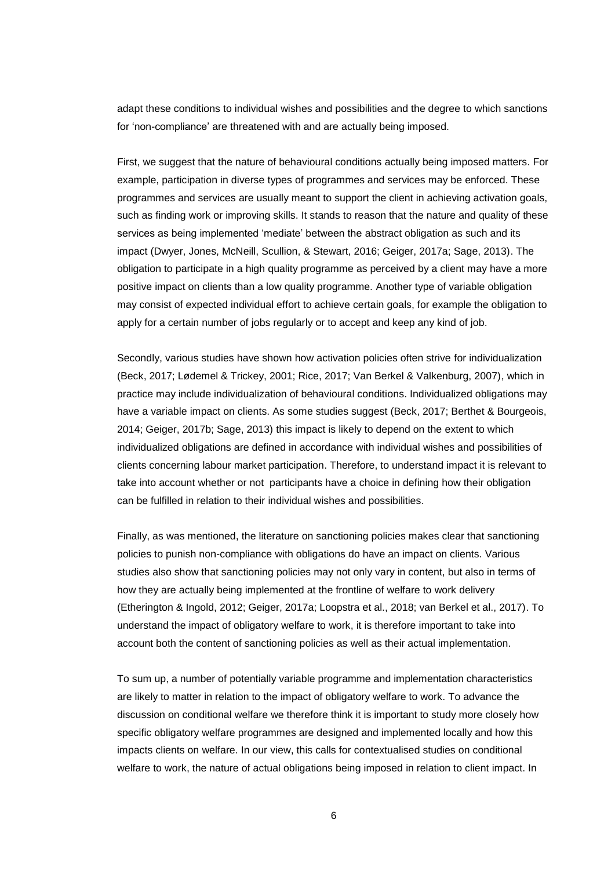adapt these conditions to individual wishes and possibilities and the degree to which sanctions for 'non-compliance' are threatened with and are actually being imposed.

First, we suggest that the nature of behavioural conditions actually being imposed matters. For example, participation in diverse types of programmes and services may be enforced. These programmes and services are usually meant to support the client in achieving activation goals, such as finding work or improving skills. It stands to reason that the nature and quality of these services as being implemented 'mediate' between the abstract obligation as such and its impact (Dwyer, Jones, McNeill, Scullion, & Stewart, 2016; Geiger, 2017a; Sage, 2013). The obligation to participate in a high quality programme as perceived by a client may have a more positive impact on clients than a low quality programme. Another type of variable obligation may consist of expected individual effort to achieve certain goals, for example the obligation to apply for a certain number of jobs regularly or to accept and keep any kind of job.

Secondly, various studies have shown how activation policies often strive for individualization (Beck, 2017; Lødemel & Trickey, 2001; Rice, 2017; Van Berkel & Valkenburg, 2007), which in practice may include individualization of behavioural conditions. Individualized obligations may have a variable impact on clients. As some studies suggest (Beck, 2017; Berthet & Bourgeois, 2014; Geiger, 2017b; Sage, 2013) this impact is likely to depend on the extent to which individualized obligations are defined in accordance with individual wishes and possibilities of clients concerning labour market participation. Therefore, to understand impact it is relevant to take into account whether or not participants have a choice in defining how their obligation can be fulfilled in relation to their individual wishes and possibilities.

Finally, as was mentioned, the literature on sanctioning policies makes clear that sanctioning policies to punish non-compliance with obligations do have an impact on clients. Various studies also show that sanctioning policies may not only vary in content, but also in terms of how they are actually being implemented at the frontline of welfare to work delivery (Etherington & Ingold, 2012; Geiger, 2017a; Loopstra et al., 2018; van Berkel et al., 2017). To understand the impact of obligatory welfare to work, it is therefore important to take into account both the content of sanctioning policies as well as their actual implementation.

To sum up, a number of potentially variable programme and implementation characteristics are likely to matter in relation to the impact of obligatory welfare to work. To advance the discussion on conditional welfare we therefore think it is important to study more closely how specific obligatory welfare programmes are designed and implemented locally and how this impacts clients on welfare. In our view, this calls for contextualised studies on conditional welfare to work, the nature of actual obligations being imposed in relation to client impact. In

6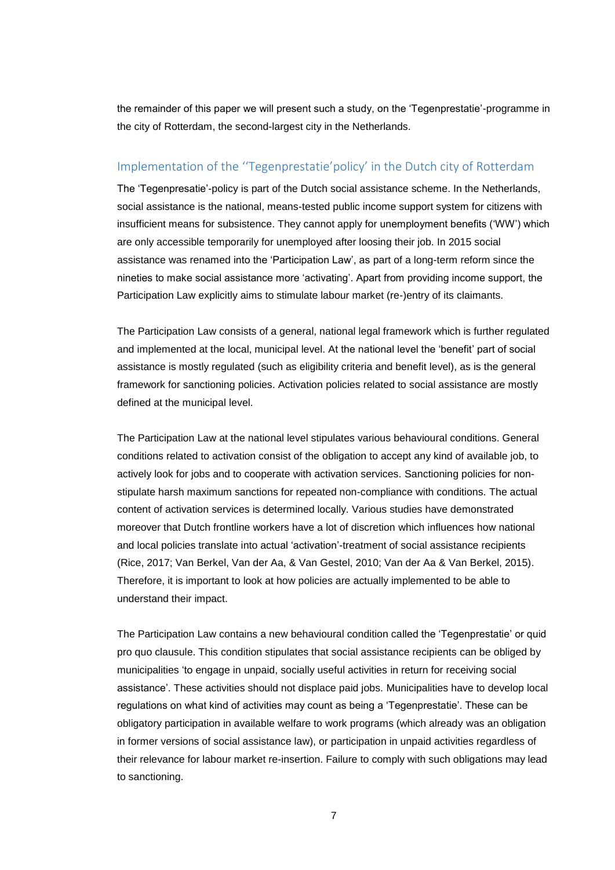the remainder of this paper we will present such a study, on the 'Tegenprestatie'-programme in the city of Rotterdam, the second-largest city in the Netherlands.

### Implementation of the ''Tegenprestatie'policy' in the Dutch city of Rotterdam

The 'Tegenpresatie'-policy is part of the Dutch social assistance scheme. In the Netherlands, social assistance is the national, means-tested public income support system for citizens with insufficient means for subsistence. They cannot apply for unemployment benefits ('WW') which are only accessible temporarily for unemployed after loosing their job. In 2015 social assistance was renamed into the 'Participation Law', as part of a long-term reform since the nineties to make social assistance more 'activating'. Apart from providing income support, the Participation Law explicitly aims to stimulate labour market (re-)entry of its claimants.

The Participation Law consists of a general, national legal framework which is further regulated and implemented at the local, municipal level. At the national level the 'benefit' part of social assistance is mostly regulated (such as eligibility criteria and benefit level), as is the general framework for sanctioning policies. Activation policies related to social assistance are mostly defined at the municipal level.

The Participation Law at the national level stipulates various behavioural conditions. General conditions related to activation consist of the obligation to accept any kind of available job, to actively look for jobs and to cooperate with activation services. Sanctioning policies for nonstipulate harsh maximum sanctions for repeated non-compliance with conditions. The actual content of activation services is determined locally. Various studies have demonstrated moreover that Dutch frontline workers have a lot of discretion which influences how national and local policies translate into actual 'activation'-treatment of social assistance recipients (Rice, 2017; Van Berkel, Van der Aa, & Van Gestel, 2010; Van der Aa & Van Berkel, 2015). Therefore, it is important to look at how policies are actually implemented to be able to understand their impact.

The Participation Law contains a new behavioural condition called the 'Tegenprestatie' or quid pro quo clausule. This condition stipulates that social assistance recipients can be obliged by municipalities 'to engage in unpaid, socially useful activities in return for receiving social assistance'. These activities should not displace paid jobs. Municipalities have to develop local regulations on what kind of activities may count as being a 'Tegenprestatie'. These can be obligatory participation in available welfare to work programs (which already was an obligation in former versions of social assistance law), or participation in unpaid activities regardless of their relevance for labour market re-insertion. Failure to comply with such obligations may lead to sanctioning.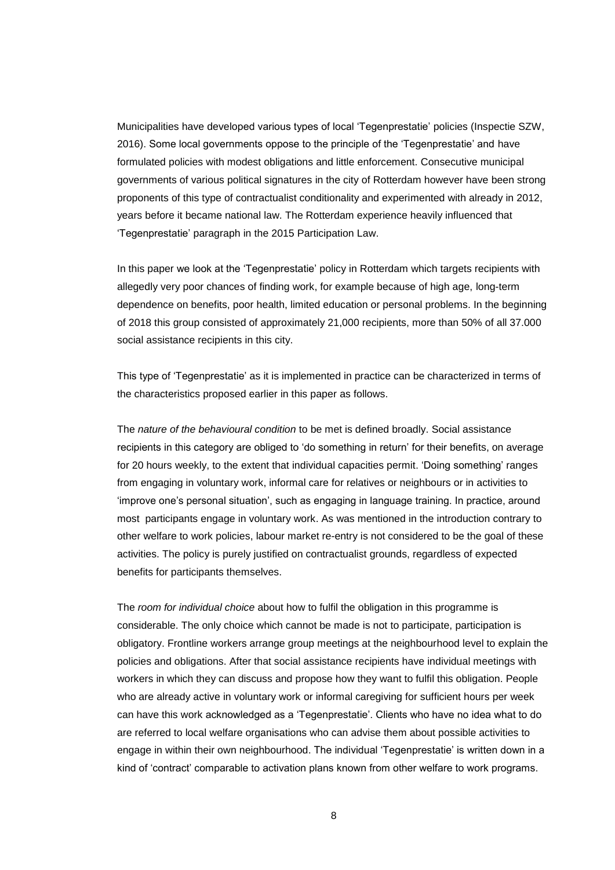Municipalities have developed various types of local 'Tegenprestatie' policies (Inspectie SZW, 2016). Some local governments oppose to the principle of the 'Tegenprestatie' and have formulated policies with modest obligations and little enforcement. Consecutive municipal governments of various political signatures in the city of Rotterdam however have been strong proponents of this type of contractualist conditionality and experimented with already in 2012, years before it became national law. The Rotterdam experience heavily influenced that 'Tegenprestatie' paragraph in the 2015 Participation Law.

In this paper we look at the 'Tegenprestatie' policy in Rotterdam which targets recipients with allegedly very poor chances of finding work, for example because of high age, long-term dependence on benefits, poor health, limited education or personal problems. In the beginning of 2018 this group consisted of approximately 21,000 recipients, more than 50% of all 37.000 social assistance recipients in this city.

This type of 'Tegenprestatie' as it is implemented in practice can be characterized in terms of the characteristics proposed earlier in this paper as follows.

The *nature of the behavioural condition* to be met is defined broadly. Social assistance recipients in this category are obliged to 'do something in return' for their benefits, on average for 20 hours weekly, to the extent that individual capacities permit. 'Doing something' ranges from engaging in voluntary work, informal care for relatives or neighbours or in activities to 'improve one's personal situation', such as engaging in language training. In practice, around most participants engage in voluntary work. As was mentioned in the introduction contrary to other welfare to work policies, labour market re-entry is not considered to be the goal of these activities. The policy is purely justified on contractualist grounds, regardless of expected benefits for participants themselves.

The *room for individual choice* about how to fulfil the obligation in this programme is considerable. The only choice which cannot be made is not to participate, participation is obligatory. Frontline workers arrange group meetings at the neighbourhood level to explain the policies and obligations. After that social assistance recipients have individual meetings with workers in which they can discuss and propose how they want to fulfil this obligation. People who are already active in voluntary work or informal caregiving for sufficient hours per week can have this work acknowledged as a 'Tegenprestatie'. Clients who have no idea what to do are referred to local welfare organisations who can advise them about possible activities to engage in within their own neighbourhood. The individual 'Tegenprestatie' is written down in a kind of 'contract' comparable to activation plans known from other welfare to work programs.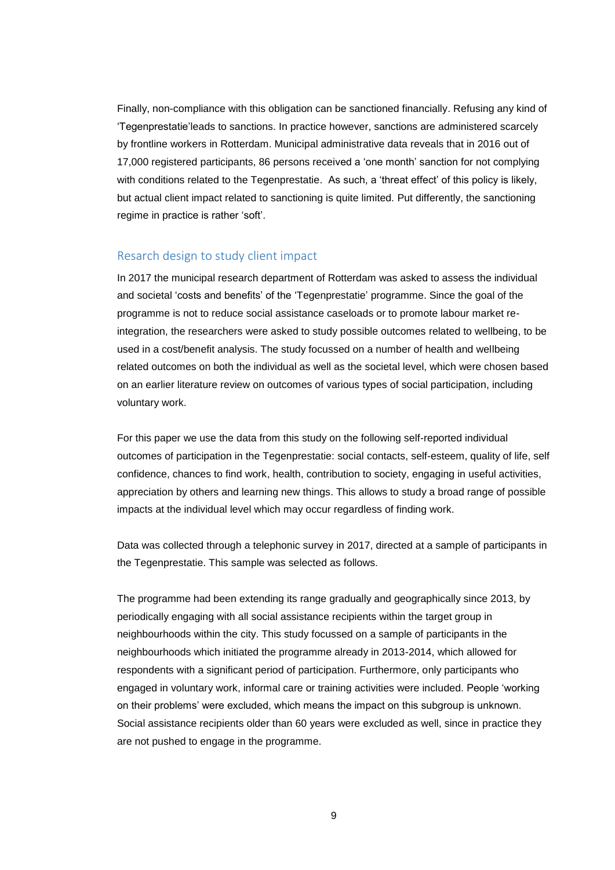Finally, non-compliance with this obligation can be sanctioned financially. Refusing any kind of 'Tegenprestatie'leads to sanctions. In practice however, sanctions are administered scarcely by frontline workers in Rotterdam. Municipal administrative data reveals that in 2016 out of 17,000 registered participants, 86 persons received a 'one month' sanction for not complying with conditions related to the Tegenprestatie. As such, a 'threat effect' of this policy is likely, but actual client impact related to sanctioning is quite limited. Put differently, the sanctioning regime in practice is rather 'soft'.

### Resarch design to study client impact

In 2017 the municipal research department of Rotterdam was asked to assess the individual and societal 'costs and benefits' of the 'Tegenprestatie' programme. Since the goal of the programme is not to reduce social assistance caseloads or to promote labour market reintegration, the researchers were asked to study possible outcomes related to wellbeing, to be used in a cost/benefit analysis. The study focussed on a number of health and wellbeing related outcomes on both the individual as well as the societal level, which were chosen based on an earlier literature review on outcomes of various types of social participation, including voluntary work.

For this paper we use the data from this study on the following self-reported individual outcomes of participation in the Tegenprestatie: social contacts, self-esteem, quality of life, self confidence, chances to find work, health, contribution to society, engaging in useful activities, appreciation by others and learning new things. This allows to study a broad range of possible impacts at the individual level which may occur regardless of finding work.

Data was collected through a telephonic survey in 2017, directed at a sample of participants in the Tegenprestatie. This sample was selected as follows.

The programme had been extending its range gradually and geographically since 2013, by periodically engaging with all social assistance recipients within the target group in neighbourhoods within the city. This study focussed on a sample of participants in the neighbourhoods which initiated the programme already in 2013-2014, which allowed for respondents with a significant period of participation. Furthermore, only participants who engaged in voluntary work, informal care or training activities were included. People 'working on their problems' were excluded, which means the impact on this subgroup is unknown. Social assistance recipients older than 60 years were excluded as well, since in practice they are not pushed to engage in the programme.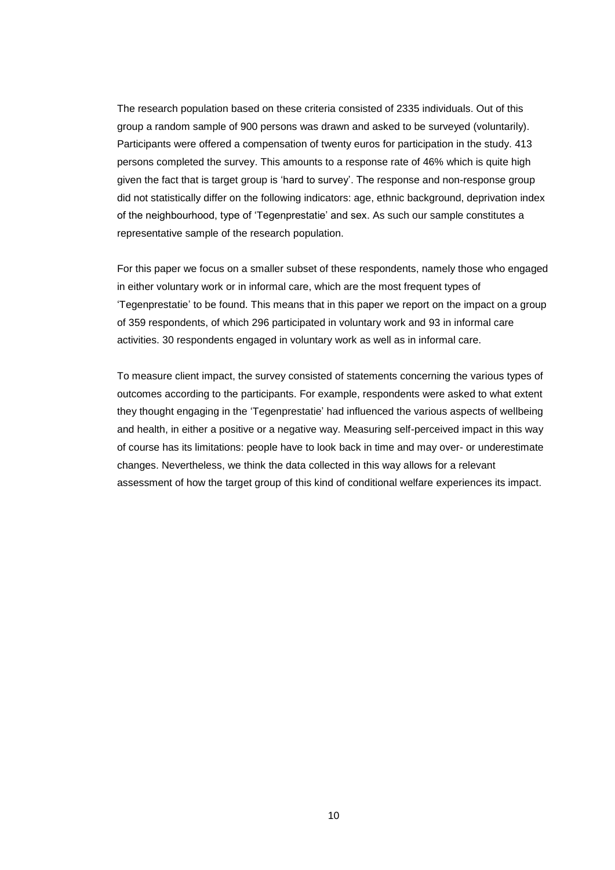The research population based on these criteria consisted of 2335 individuals. Out of this group a random sample of 900 persons was drawn and asked to be surveyed (voluntarily). Participants were offered a compensation of twenty euros for participation in the study. 413 persons completed the survey. This amounts to a response rate of 46% which is quite high given the fact that is target group is 'hard to survey'. The response and non-response group did not statistically differ on the following indicators: age, ethnic background, deprivation index of the neighbourhood, type of 'Tegenprestatie' and sex. As such our sample constitutes a representative sample of the research population.

For this paper we focus on a smaller subset of these respondents, namely those who engaged in either voluntary work or in informal care, which are the most frequent types of 'Tegenprestatie' to be found. This means that in this paper we report on the impact on a group of 359 respondents, of which 296 participated in voluntary work and 93 in informal care activities. 30 respondents engaged in voluntary work as well as in informal care.

To measure client impact, the survey consisted of statements concerning the various types of outcomes according to the participants. For example, respondents were asked to what extent they thought engaging in the 'Tegenprestatie' had influenced the various aspects of wellbeing and health, in either a positive or a negative way. Measuring self-perceived impact in this way of course has its limitations: people have to look back in time and may over- or underestimate changes. Nevertheless, we think the data collected in this way allows for a relevant assessment of how the target group of this kind of conditional welfare experiences its impact.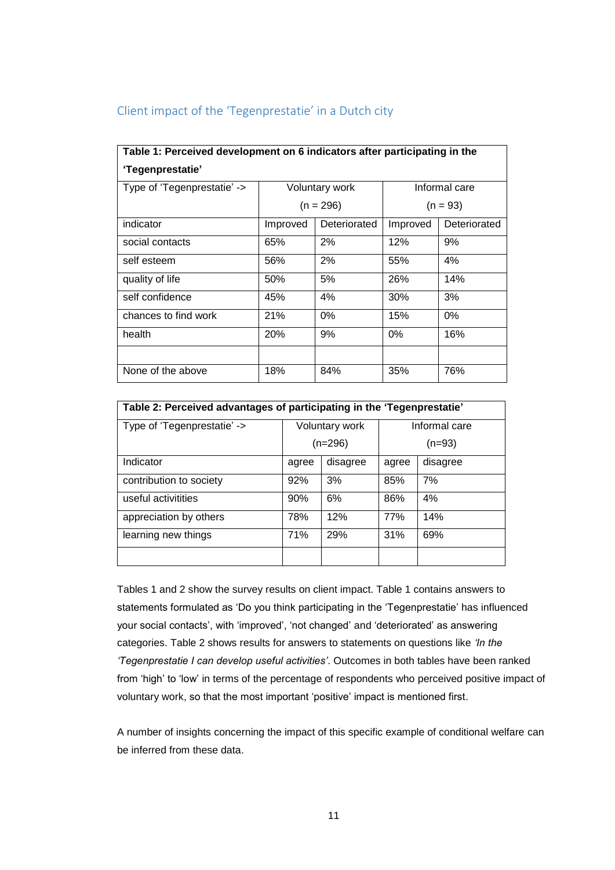| Table 1: Perceived development on 6 indicators after participating in the |                       |              |               |              |  |  |  |
|---------------------------------------------------------------------------|-----------------------|--------------|---------------|--------------|--|--|--|
| 'Tegenprestatie'                                                          |                       |              |               |              |  |  |  |
| Type of 'Tegenprestatie' ->                                               | <b>Voluntary work</b> |              | Informal care |              |  |  |  |
|                                                                           | $(n = 296)$           |              | $(n = 93)$    |              |  |  |  |
| indicator                                                                 | Improved              | Deteriorated | Improved      | Deteriorated |  |  |  |
| social contacts                                                           | 65%                   | 2%           | 12%           | 9%           |  |  |  |
| self esteem                                                               | 56%                   | 2%           | 55%           | 4%           |  |  |  |
| quality of life                                                           | 50%                   | 5%           | 26%           | 14%          |  |  |  |
| self confidence                                                           | 45%                   | 4%           | 30%           | 3%           |  |  |  |
| chances to find work                                                      | 21%                   | 0%           | 15%           | 0%           |  |  |  |
| health                                                                    | 20%                   | 9%           | 0%            | 16%          |  |  |  |
|                                                                           |                       |              |               |              |  |  |  |
| None of the above                                                         | 18%                   | 84%          | 35%           | 76%          |  |  |  |

## Client impact of the 'Tegenprestatie' in a Dutch city

| Table 2: Perceived advantages of participating in the 'Tegenprestatie' |                |           |               |          |  |  |  |
|------------------------------------------------------------------------|----------------|-----------|---------------|----------|--|--|--|
| Type of 'Tegenprestatie' ->                                            | Voluntary work |           | Informal care |          |  |  |  |
|                                                                        |                | $(n=296)$ | (n=93)        |          |  |  |  |
| Indicator                                                              | agree          | disagree  | agree         | disagree |  |  |  |
| contribution to society                                                | 92%            | 3%        | 85%           | 7%       |  |  |  |
| useful activitities                                                    | 90%            | 6%        | 86%           | 4%       |  |  |  |
| appreciation by others                                                 | 78%            | 12%       | 77%           | 14%      |  |  |  |
| learning new things                                                    | 71%            | 29%       | 31%           | 69%      |  |  |  |
|                                                                        |                |           |               |          |  |  |  |

Tables 1 and 2 show the survey results on client impact. Table 1 contains answers to statements formulated as 'Do you think participating in the 'Tegenprestatie' has influenced your social contacts', with 'improved', 'not changed' and 'deteriorated' as answering categories. Table 2 shows results for answers to statements on questions like *'In the 'Tegenprestatie I can develop useful activities'*. Outcomes in both tables have been ranked from 'high' to 'low' in terms of the percentage of respondents who perceived positive impact of voluntary work, so that the most important 'positive' impact is mentioned first.

A number of insights concerning the impact of this specific example of conditional welfare can be inferred from these data.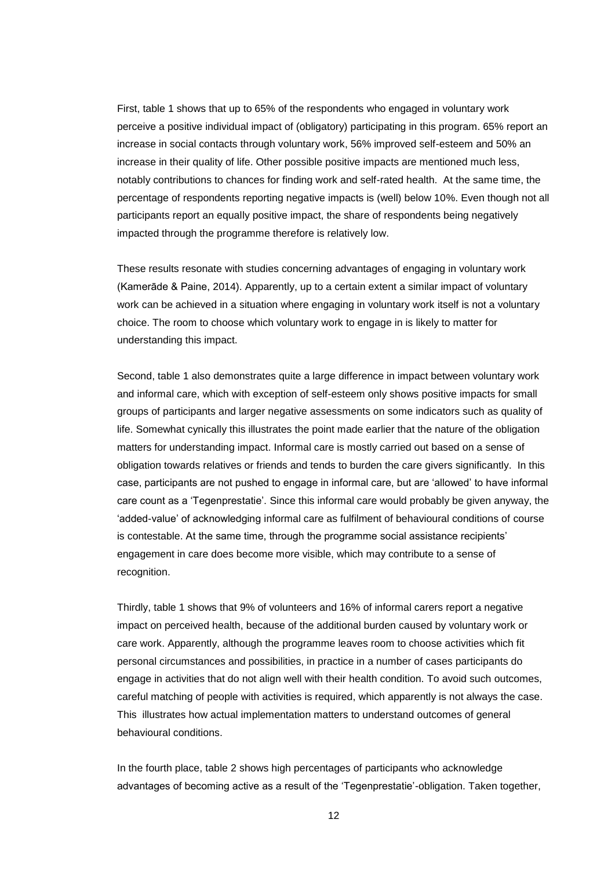First, table 1 shows that up to 65% of the respondents who engaged in voluntary work perceive a positive individual impact of (obligatory) participating in this program. 65% report an increase in social contacts through voluntary work, 56% improved self-esteem and 50% an increase in their quality of life. Other possible positive impacts are mentioned much less, notably contributions to chances for finding work and self-rated health. At the same time, the percentage of respondents reporting negative impacts is (well) below 10%. Even though not all participants report an equally positive impact, the share of respondents being negatively impacted through the programme therefore is relatively low.

These results resonate with studies concerning advantages of engaging in voluntary work (Kamerāde & Paine, 2014). Apparently, up to a certain extent a similar impact of voluntary work can be achieved in a situation where engaging in voluntary work itself is not a voluntary choice. The room to choose which voluntary work to engage in is likely to matter for understanding this impact.

Second, table 1 also demonstrates quite a large difference in impact between voluntary work and informal care, which with exception of self-esteem only shows positive impacts for small groups of participants and larger negative assessments on some indicators such as quality of life. Somewhat cynically this illustrates the point made earlier that the nature of the obligation matters for understanding impact. Informal care is mostly carried out based on a sense of obligation towards relatives or friends and tends to burden the care givers significantly. In this case, participants are not pushed to engage in informal care, but are 'allowed' to have informal care count as a 'Tegenprestatie'. Since this informal care would probably be given anyway, the 'added-value' of acknowledging informal care as fulfilment of behavioural conditions of course is contestable. At the same time, through the programme social assistance recipients' engagement in care does become more visible, which may contribute to a sense of recognition.

Thirdly, table 1 shows that 9% of volunteers and 16% of informal carers report a negative impact on perceived health, because of the additional burden caused by voluntary work or care work. Apparently, although the programme leaves room to choose activities which fit personal circumstances and possibilities, in practice in a number of cases participants do engage in activities that do not align well with their health condition. To avoid such outcomes, careful matching of people with activities is required, which apparently is not always the case. This illustrates how actual implementation matters to understand outcomes of general behavioural conditions.

In the fourth place, table 2 shows high percentages of participants who acknowledge advantages of becoming active as a result of the 'Tegenprestatie'-obligation. Taken together,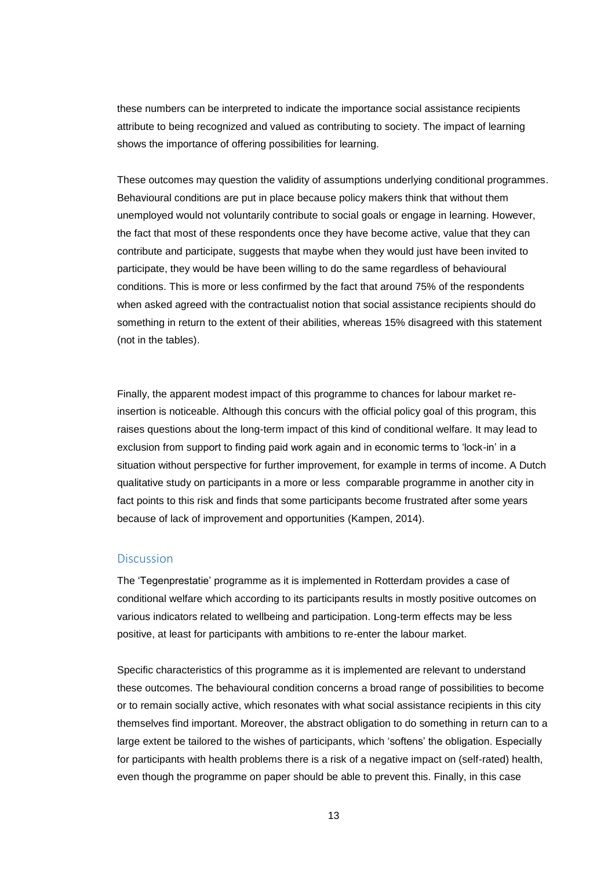these numbers can be interpreted to indicate the importance social assistance recipients attribute to being recognized and valued as contributing to society. The impact of learning shows the importance of offering possibilities for learning.

These outcomes may question the validity of assumptions underlying conditional programmes. Behavioural conditions are put in place because policy makers think that without them unemployed would not voluntarily contribute to social goals or engage in learning. However, the fact that most of these respondents once they have become active, value that they can contribute and participate, suggests that maybe when they would just have been invited to participate, they would be have been willing to do the same regardless of behavioural conditions. This is more or less confirmed by the fact that around 75% of the respondents when asked agreed with the contractualist notion that social assistance recipients should do something in return to the extent of their abilities, whereas 15% disagreed with this statement (not in the tables).

Finally, the apparent modest impact of this programme to chances for labour market reinsertion is noticeable. Although this concurs with the official policy goal of this program, this raises questions about the long-term impact of this kind of conditional welfare. It may lead to exclusion from support to finding paid work again and in economic terms to 'lock-in' in a situation without perspective for further improvement, for example in terms of income. A Dutch qualitative study on participants in a more or less comparable programme in another city in fact points to this risk and finds that some participants become frustrated after some years because of lack of improvement and opportunities (Kampen, 2014).

#### **Discussion**

The 'Tegenprestatie' programme as it is implemented in Rotterdam provides a case of conditional welfare which according to its participants results in mostly positive outcomes on various indicators related to wellbeing and participation. Long-term effects may be less positive, at least for participants with ambitions to re-enter the labour market.

Specific characteristics of this programme as it is implemented are relevant to understand these outcomes. The behavioural condition concerns a broad range of possibilities to become or to remain socially active, which resonates with what social assistance recipients in this city themselves find important. Moreover, the abstract obligation to do something in return can to a large extent be tailored to the wishes of participants, which 'softens' the obligation. Especially for participants with health problems there is a risk of a negative impact on (self-rated) health, even though the programme on paper should be able to prevent this. Finally, in this case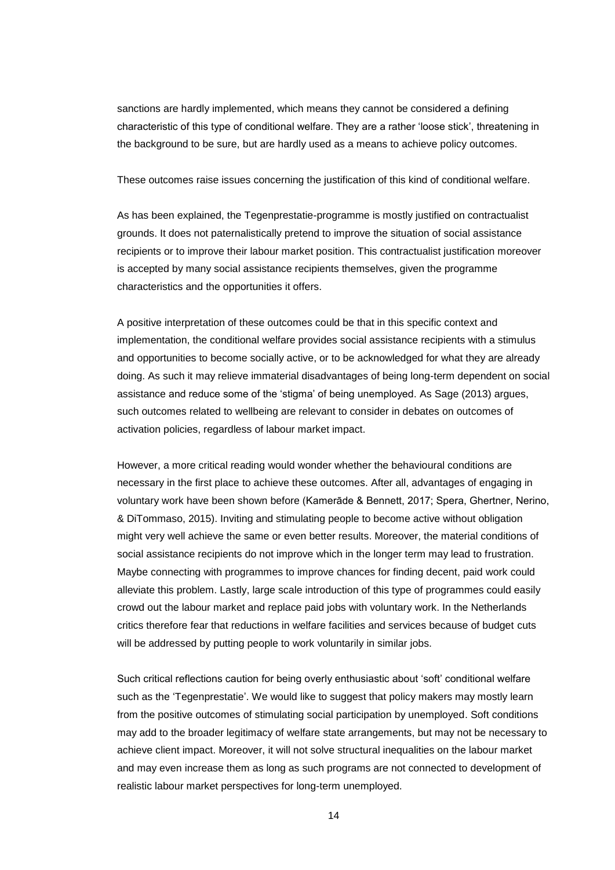sanctions are hardly implemented, which means they cannot be considered a defining characteristic of this type of conditional welfare. They are a rather 'loose stick', threatening in the background to be sure, but are hardly used as a means to achieve policy outcomes.

These outcomes raise issues concerning the justification of this kind of conditional welfare.

As has been explained, the Tegenprestatie-programme is mostly justified on contractualist grounds. It does not paternalistically pretend to improve the situation of social assistance recipients or to improve their labour market position. This contractualist justification moreover is accepted by many social assistance recipients themselves, given the programme characteristics and the opportunities it offers.

A positive interpretation of these outcomes could be that in this specific context and implementation, the conditional welfare provides social assistance recipients with a stimulus and opportunities to become socially active, or to be acknowledged for what they are already doing. As such it may relieve immaterial disadvantages of being long-term dependent on social assistance and reduce some of the 'stigma' of being unemployed. As Sage (2013) argues, such outcomes related to wellbeing are relevant to consider in debates on outcomes of activation policies, regardless of labour market impact.

However, a more critical reading would wonder whether the behavioural conditions are necessary in the first place to achieve these outcomes. After all, advantages of engaging in voluntary work have been shown before (Kamerāde & Bennett, 2017; Spera, Ghertner, Nerino, & DiTommaso, 2015). Inviting and stimulating people to become active without obligation might very well achieve the same or even better results. Moreover, the material conditions of social assistance recipients do not improve which in the longer term may lead to frustration. Maybe connecting with programmes to improve chances for finding decent, paid work could alleviate this problem. Lastly, large scale introduction of this type of programmes could easily crowd out the labour market and replace paid jobs with voluntary work. In the Netherlands critics therefore fear that reductions in welfare facilities and services because of budget cuts will be addressed by putting people to work voluntarily in similar jobs.

Such critical reflections caution for being overly enthusiastic about 'soft' conditional welfare such as the 'Tegenprestatie'. We would like to suggest that policy makers may mostly learn from the positive outcomes of stimulating social participation by unemployed. Soft conditions may add to the broader legitimacy of welfare state arrangements, but may not be necessary to achieve client impact. Moreover, it will not solve structural inequalities on the labour market and may even increase them as long as such programs are not connected to development of realistic labour market perspectives for long-term unemployed.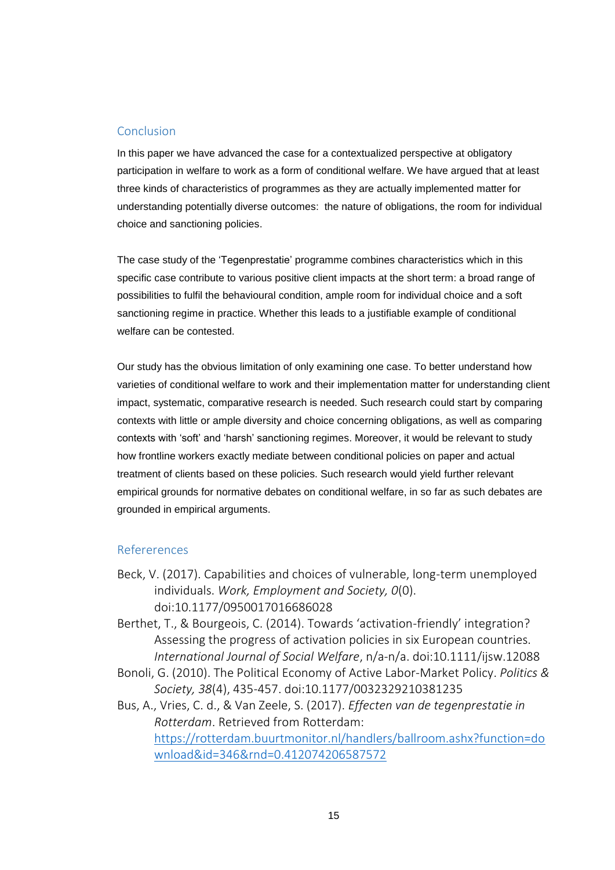### Conclusion

In this paper we have advanced the case for a contextualized perspective at obligatory participation in welfare to work as a form of conditional welfare. We have argued that at least three kinds of characteristics of programmes as they are actually implemented matter for understanding potentially diverse outcomes: the nature of obligations, the room for individual choice and sanctioning policies.

The case study of the 'Tegenprestatie' programme combines characteristics which in this specific case contribute to various positive client impacts at the short term: a broad range of possibilities to fulfil the behavioural condition, ample room for individual choice and a soft sanctioning regime in practice. Whether this leads to a justifiable example of conditional welfare can be contested.

Our study has the obvious limitation of only examining one case. To better understand how varieties of conditional welfare to work and their implementation matter for understanding client impact, systematic, comparative research is needed. Such research could start by comparing contexts with little or ample diversity and choice concerning obligations, as well as comparing contexts with 'soft' and 'harsh' sanctioning regimes. Moreover, it would be relevant to study how frontline workers exactly mediate between conditional policies on paper and actual treatment of clients based on these policies. Such research would yield further relevant empirical grounds for normative debates on conditional welfare, in so far as such debates are grounded in empirical arguments.

#### Refererences

- Beck, V. (2017). Capabilities and choices of vulnerable, long-term unemployed individuals. *Work, Employment and Society, 0*(0). doi:10.1177/0950017016686028
- Berthet, T., & Bourgeois, C. (2014). Towards 'activation-friendly' integration? Assessing the progress of activation policies in six European countries. *International Journal of Social Welfare*, n/a-n/a. doi:10.1111/ijsw.12088
- Bonoli, G. (2010). The Political Economy of Active Labor-Market Policy. *Politics & Society, 38*(4), 435-457. doi:10.1177/0032329210381235

Bus, A., Vries, C. d., & Van Zeele, S. (2017). *Effecten van de tegenprestatie in Rotterdam*. Retrieved from Rotterdam: [https://rotterdam.buurtmonitor.nl/handlers/ballroom.ashx?function=do](https://rotterdam.buurtmonitor.nl/handlers/ballroom.ashx?function=download&id=346&rnd=0.412074206587572) [wnload&id=346&rnd=0.412074206587572](https://rotterdam.buurtmonitor.nl/handlers/ballroom.ashx?function=download&id=346&rnd=0.412074206587572)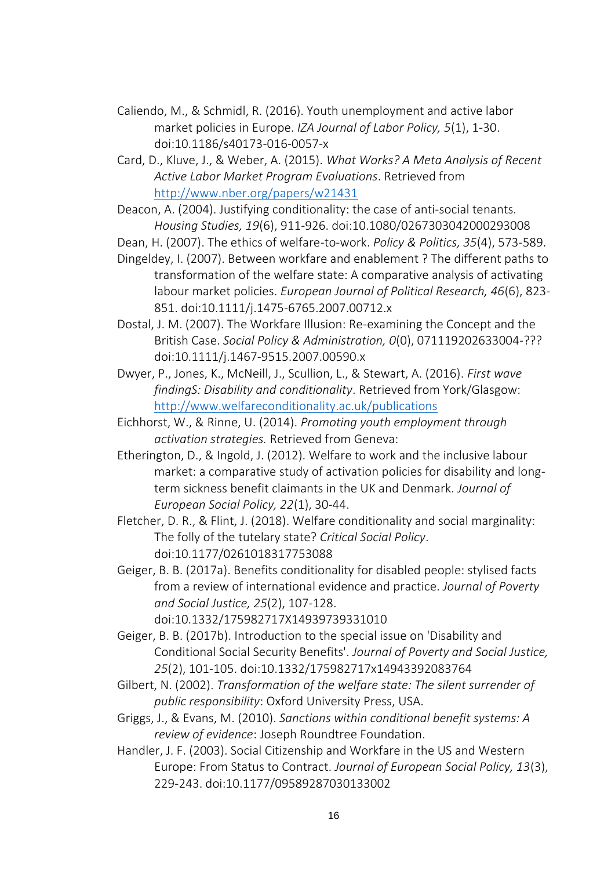- Caliendo, M., & Schmidl, R. (2016). Youth unemployment and active labor market policies in Europe. *IZA Journal of Labor Policy, 5*(1), 1-30. doi:10.1186/s40173-016-0057-x
- Card, D., Kluve, J., & Weber, A. (2015). *What Works? A Meta Analysis of Recent Active Labor Market Program Evaluations*. Retrieved from <http://www.nber.org/papers/w21431>
- Deacon, A. (2004). Justifying conditionality: the case of anti-social tenants. *Housing Studies, 19*(6), 911-926. doi:10.1080/0267303042000293008
- Dean, H. (2007). The ethics of welfare-to-work. *Policy & Politics, 35*(4), 573-589.
- Dingeldey, I. (2007). Between workfare and enablement ? The different paths to transformation of the welfare state: A comparative analysis of activating labour market policies. *European Journal of Political Research, 46*(6), 823- 851. doi:10.1111/j.1475-6765.2007.00712.x
- Dostal, J. M. (2007). The Workfare Illusion: Re-examining the Concept and the British Case. *Social Policy & Administration, 0*(0), 071119202633004-??? doi:10.1111/j.1467-9515.2007.00590.x
- Dwyer, P., Jones, K., McNeill, J., Scullion, L., & Stewart, A. (2016). *First wave findingS: Disability and conditionality*. Retrieved from York/Glasgow: <http://www.welfareconditionality.ac.uk/publications>
- Eichhorst, W., & Rinne, U. (2014). *Promoting youth employment through activation strategies.* Retrieved from Geneva:
- Etherington, D., & Ingold, J. (2012). Welfare to work and the inclusive labour market: a comparative study of activation policies for disability and longterm sickness benefit claimants in the UK and Denmark. *Journal of European Social Policy, 22*(1), 30-44.
- Fletcher, D. R., & Flint, J. (2018). Welfare conditionality and social marginality: The folly of the tutelary state? *Critical Social Policy*. doi:10.1177/0261018317753088
- Geiger, B. B. (2017a). Benefits conditionality for disabled people: stylised facts from a review of international evidence and practice. *Journal of Poverty and Social Justice, 25*(2), 107-128. doi:10.1332/175982717X14939739331010
- Geiger, B. B. (2017b). Introduction to the special issue on 'Disability and Conditional Social Security Benefits'. *Journal of Poverty and Social Justice, 25*(2), 101-105. doi:10.1332/175982717x14943392083764
- Gilbert, N. (2002). *Transformation of the welfare state: The silent surrender of public responsibility*: Oxford University Press, USA.
- Griggs, J., & Evans, M. (2010). *Sanctions within conditional benefit systems: A review of evidence*: Joseph Roundtree Foundation.
- Handler, J. F. (2003). Social Citizenship and Workfare in the US and Western Europe: From Status to Contract. *Journal of European Social Policy, 13*(3), 229-243. doi:10.1177/09589287030133002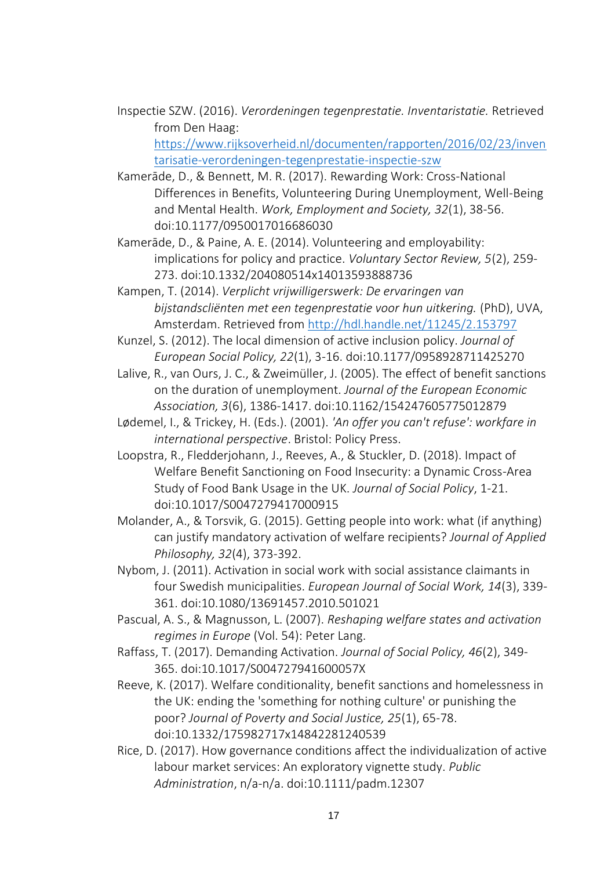Inspectie SZW. (2016). *Verordeningen tegenprestatie. Inventaristatie.* Retrieved from Den Haag: [https://www.rijksoverheid.nl/documenten/rapporten/2016/02/23/inven](https://www.rijksoverheid.nl/documenten/rapporten/2016/02/23/inventarisatie-verordeningen-tegenprestatie-inspectie-szw)

[tarisatie-verordeningen-tegenprestatie-inspectie-szw](https://www.rijksoverheid.nl/documenten/rapporten/2016/02/23/inventarisatie-verordeningen-tegenprestatie-inspectie-szw)

- Kamerāde, D., & Bennett, M. R. (2017). Rewarding Work: Cross-National Differences in Benefits, Volunteering During Unemployment, Well-Being and Mental Health. *Work, Employment and Society, 32*(1), 38-56. doi:10.1177/0950017016686030
- Kamerāde, D., & Paine, A. E. (2014). Volunteering and employability: implications for policy and practice. *Voluntary Sector Review, 5*(2), 259- 273. doi:10.1332/204080514x14013593888736
- Kampen, T. (2014). *Verplicht vrijwilligerswerk: De ervaringen van bijstandscliënten met een tegenprestatie voor hun uitkering.* (PhD), UVA, Amsterdam. Retrieved from<http://hdl.handle.net/11245/2.153797>
- Kunzel, S. (2012). The local dimension of active inclusion policy. *Journal of European Social Policy, 22*(1), 3-16. doi:10.1177/0958928711425270
- Lalive, R., van Ours, J. C., & Zweimüller, J. (2005). The effect of benefit sanctions on the duration of unemployment. *Journal of the European Economic Association, 3*(6), 1386-1417. doi:10.1162/154247605775012879
- Lødemel, I., & Trickey, H. (Eds.). (2001). *'An offer you can't refuse': workfare in international perspective*. Bristol: Policy Press.
- Loopstra, R., Fledderjohann, J., Reeves, A., & Stuckler, D. (2018). Impact of Welfare Benefit Sanctioning on Food Insecurity: a Dynamic Cross-Area Study of Food Bank Usage in the UK. *Journal of Social Policy*, 1-21. doi:10.1017/S0047279417000915
- Molander, A., & Torsvik, G. (2015). Getting people into work: what (if anything) can justify mandatory activation of welfare recipients? *Journal of Applied Philosophy, 32*(4), 373-392.
- Nybom, J. (2011). Activation in social work with social assistance claimants in four Swedish municipalities. *European Journal of Social Work, 14*(3), 339- 361. doi:10.1080/13691457.2010.501021
- Pascual, A. S., & Magnusson, L. (2007). *Reshaping welfare states and activation regimes in Europe* (Vol. 54): Peter Lang.
- Raffass, T. (2017). Demanding Activation. *Journal of Social Policy, 46*(2), 349- 365. doi:10.1017/S004727941600057X
- Reeve, K. (2017). Welfare conditionality, benefit sanctions and homelessness in the UK: ending the 'something for nothing culture' or punishing the poor? *Journal of Poverty and Social Justice, 25*(1), 65-78. doi:10.1332/175982717x14842281240539
- Rice, D. (2017). How governance conditions affect the individualization of active labour market services: An exploratory vignette study. *Public Administration*, n/a-n/a. doi:10.1111/padm.12307